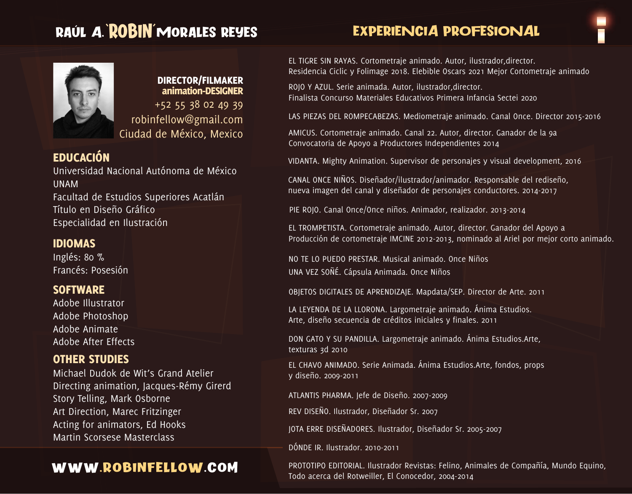# Raúl A. `Robin´ Morales Reyes

# EXPERIENCIA PROFESIONAL



### DIRECTOR/FILMAKER animation-DESIGNER

+52 55 38 02 49 39 robinfellow@gmail.com Ciudad de México, Mexico

## EDUCACIÓN

Universidad Nacional Autónoma de México UNAM

Facultad de Estudios Superiores Acatlán Título en Diseño Gráfico Especialidad en Ilustración

### IDIOMAS

Inglés: 80 % Francés: Posesión

### **SOFTWARE**

Adobe Illustrator Adobe Photoshop Adobe Animate Adobe After Effects

### OTHER STUDIES

Directing animation, Jacques-Rémy Girerd Michael Dudok de Wit's Grand Atelier Story Telling, Mark Osborne Art Direction, Marec Fritzinger Acting for animators, Ed Hooks Martin Scorsese Masterclass

# www.robinfellow.com

EL TIGRE SIN RAYAS. Cortometraje animado. Autor, ilustrador,director. Residencia Ciclic y Folimage 2018. Elebible Oscars 2021 Mejor Cortometraje animado

ROJO Y AZUL. Serie animada. Autor, ilustrador,director. Finalista Concurso Materiales Educativos Primera Infancia Sectei 2020

LAS PIEZAS DEL ROMPECABEZAS. Mediometraje animado. Canal Once. Director 2015-2016

AMICUS. Cortometraje animado. Canal 22. Autor, director. Ganador de la 9a Convocatoria de Apoyo a Productores Independientes 2014

VIDANTA. Mighty Animation. Supervisor de personajes y visual development, 2016

CANAL ONCE NIÑOS. Diseñador/ilustrador/animador. Responsable del rediseño, nueva imagen del canal y diseñador de personajes conductores. 2014-2017

PIE ROJO. Canal Once/Once niños. Animador, realizador. 2013-2014

EL TROMPETISTA. Cortometraje animado. Autor, director. Ganador del Apoyo a Producción de cortometraje IMCINE 2012-2013, nominado al Ariel por mejor corto animado.

NO TE LO PUEDO PRESTAR. Musical animado. Once Niños UNA VEZ SOÑÉ. Cápsula Animada. Once Niños

OBJETOS DIGITALES DE APRENDIZAJE. Mapdata/SEP. Director de Arte. 2011

LA LEYENDA DE LA LLORONA. Largometraje animado. Ánima Estudios. Arte, diseño secuencia de créditos iniciales y finales. 2011

DON GATO Y SU PANDILLA. Largometraje animado. Ánima Estudios.Arte, texturas 3d 2010

EL CHAVO ANIMADO. Serie Animada. Ánima Estudios.Arte, fondos, props y diseño. 2009-2011

ATLANTIS PHARMA. Jefe de Diseño. 2007-2009

REV DISEÑO. Ilustrador, Diseñador Sr. 2007

JOTA ERRE DISEÑADORES. Ilustrador, Diseñador Sr. 2005-2007

DÓNDE IR. Ilustrador. 2010-2011

PROTOTIPO EDITORIAL. Ilustrador Revistas: Felino, Animales de Compañía, Mundo Equino, Todo acerca del Rotweiller, El Conocedor, 2004-2014